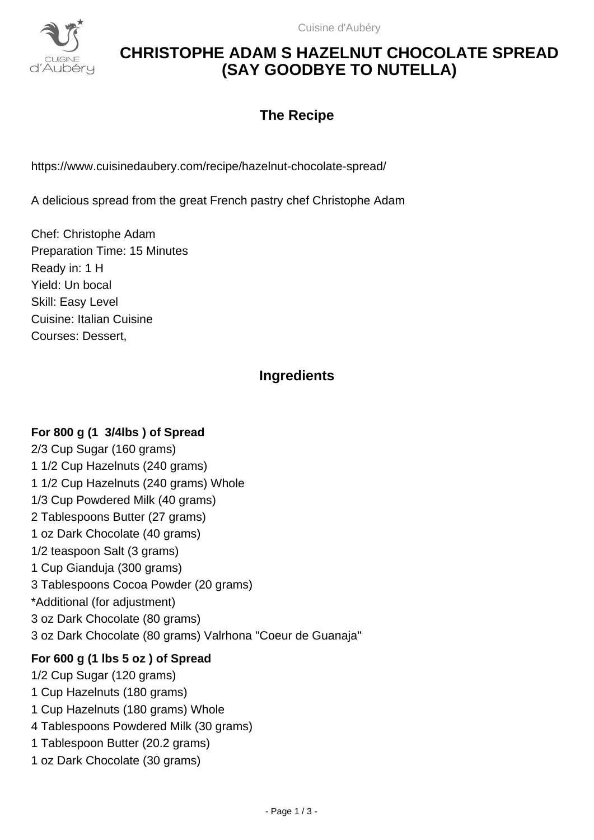

## **CHRISTOPHE ADAM S HAZELNUT CHOCOLATE SPREAD (SAY GOODBYE TO NUTELLA)**

## **The Recipe**

https://www.cuisinedaubery.com/recipe/hazelnut-chocolate-spread/

A delicious spread from the great French pastry chef Christophe Adam

Chef: Christophe Adam Preparation Time: 15 Minutes Ready in: 1 H Yield: Un bocal Skill: Easy Level Cuisine: Italian Cuisine Courses: Dessert,

### **Ingredients**

#### **For 800 g (1 3/4lbs ) of Spread**

2/3 Cup Sugar (160 grams) 1 1/2 Cup Hazelnuts (240 grams) 1 1/2 Cup Hazelnuts (240 grams) Whole 1/3 Cup Powdered Milk (40 grams) 2 Tablespoons Butter (27 grams) 1 oz Dark Chocolate (40 grams) 1/2 teaspoon Salt (3 grams) 1 Cup Gianduja (300 grams) 3 Tablespoons Cocoa Powder (20 grams) \*Additional (for adjustment) 3 oz Dark Chocolate (80 grams) 3 oz Dark Chocolate (80 grams) Valrhona "Coeur de Guanaja"

#### **For 600 g (1 lbs 5 oz ) of Spread**

1/2 Cup Sugar (120 grams) 1 Cup Hazelnuts (180 grams) 1 Cup Hazelnuts (180 grams) Whole 4 Tablespoons Powdered Milk (30 grams) 1 Tablespoon Butter (20.2 grams) 1 oz Dark Chocolate (30 grams)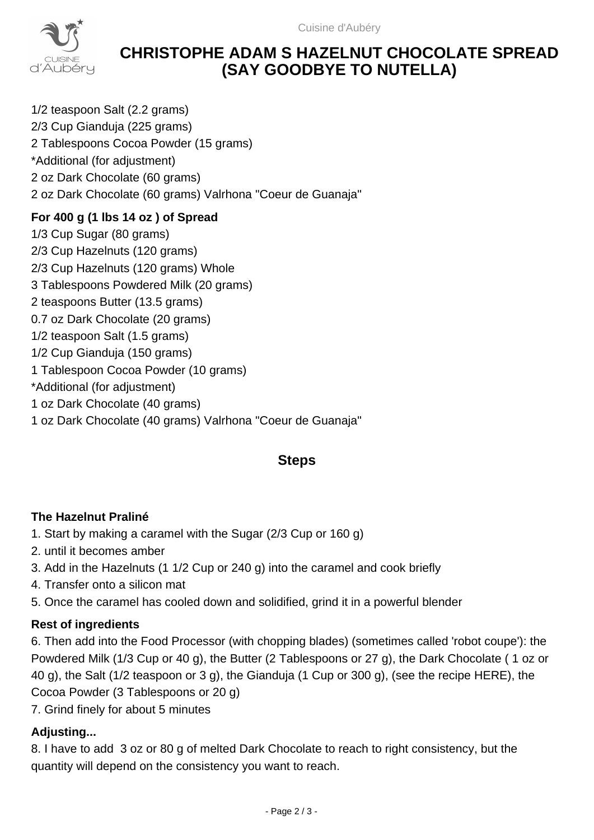

## **CHRISTOPHE ADAM S HAZELNUT CHOCOLATE SPREAD (SAY GOODBYE TO NUTELLA)**

1/2 teaspoon Salt (2.2 grams) 2/3 Cup Gianduja (225 grams) 2 Tablespoons Cocoa Powder (15 grams) \*Additional (for adjustment) 2 oz Dark Chocolate (60 grams) 2 oz Dark Chocolate (60 grams) Valrhona "Coeur de Guanaja"

### **For 400 g (1 lbs 14 oz ) of Spread**

1/3 Cup Sugar (80 grams) 2/3 Cup Hazelnuts (120 grams) 2/3 Cup Hazelnuts (120 grams) Whole 3 Tablespoons Powdered Milk (20 grams) 2 teaspoons Butter (13.5 grams) 0.7 oz Dark Chocolate (20 grams) 1/2 teaspoon Salt (1.5 grams) 1/2 Cup Gianduja (150 grams) 1 Tablespoon Cocoa Powder (10 grams) \*Additional (for adjustment) 1 oz Dark Chocolate (40 grams) 1 oz Dark Chocolate (40 grams) Valrhona "Coeur de Guanaja"

### **Steps**

#### **The Hazelnut Praliné**

- 1. Start by making a caramel with the Sugar (2/3 Cup or 160 g)
- 2. until it becomes amber
- 3. Add in the Hazelnuts (1 1/2 Cup or 240 g) into the caramel and cook briefly
- 4. Transfer onto a silicon mat
- 5. Once the caramel has cooled down and solidified, grind it in a powerful blender

#### **Rest of ingredients**

6. Then add into the Food Processor (with chopping blades) (sometimes called 'robot coupe'): the Powdered Milk (1/3 Cup or 40 g), the Butter (2 Tablespoons or 27 g), the Dark Chocolate ( 1 oz or 40 g), the Salt (1/2 teaspoon or 3 g), the Gianduja (1 Cup or 300 g), (see the recipe HERE), the Cocoa Powder (3 Tablespoons or 20 g)

7. Grind finely for about 5 minutes

#### **Adjusting...**

8. I have to add 3 oz or 80 g of melted Dark Chocolate to reach to right consistency, but the quantity will depend on the consistency you want to reach.